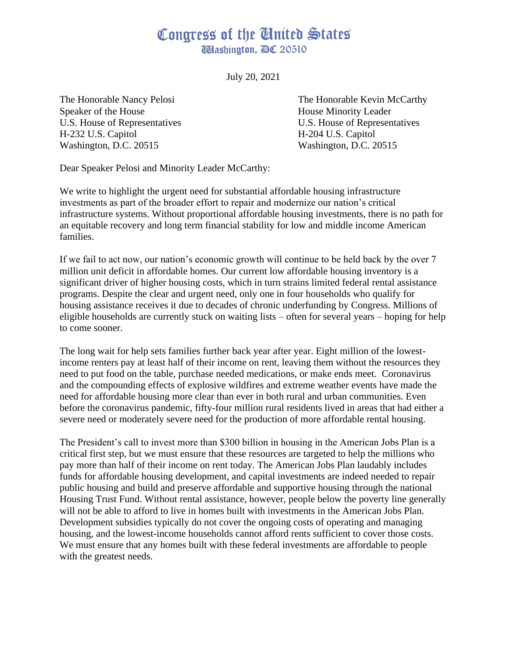## Congress of the Ginited States **Washington, AC 20510**

July 20, 2021

Speaker of the House **House** House Minority Leader H-232 U.S. Capitol H-204 U.S. Capitol Washington, D.C. 20515 Washington, D.C. 20515

The Honorable Nancy Pelosi The Honorable Kevin McCarthy U.S. House of Representatives U.S. House of Representatives

Dear Speaker Pelosi and Minority Leader McCarthy:

We write to highlight the urgent need for substantial affordable housing infrastructure investments as part of the broader effort to repair and modernize our nation's critical infrastructure systems. Without proportional affordable housing investments, there is no path for an equitable recovery and long term financial stability for low and middle income American families.

If we fail to act now, our nation's economic growth will continue to be held back by the over 7 million unit deficit in affordable homes. Our current low affordable housing inventory is a significant driver of higher housing costs, which in turn strains limited federal rental assistance programs. Despite the clear and urgent need, only one in four households who qualify for housing assistance receives it due to decades of chronic underfunding by Congress. Millions of eligible households are currently stuck on waiting lists – often for several years – hoping for help to come sooner.

The long wait for help sets families further back year after year. Eight million of the lowestincome renters pay at least half of their income on rent, leaving them without the resources they need to put food on the table, purchase needed medications, or make ends meet. Coronavirus and the compounding effects of explosive wildfires and extreme weather events have made the need for affordable housing more clear than ever in both rural and urban communities. Even before the coronavirus pandemic, fifty-four million rural residents lived in areas that had either a severe need or moderately severe need for the production of more affordable rental housing.

The President's call to invest more than \$300 billion in housing in the American Jobs Plan is a critical first step, but we must ensure that these resources are targeted to help the millions who pay more than half of their income on rent today. The American Jobs Plan laudably includes funds for affordable housing development, and capital investments are indeed needed to repair public housing and build and preserve affordable and supportive housing through the national Housing Trust Fund. Without rental assistance, however, people below the poverty line generally will not be able to afford to live in homes built with investments in the American Jobs Plan. Development subsidies typically do not cover the ongoing costs of operating and managing housing, and the lowest-income households cannot afford rents sufficient to cover those costs. We must ensure that any homes built with these federal investments are affordable to people with the greatest needs.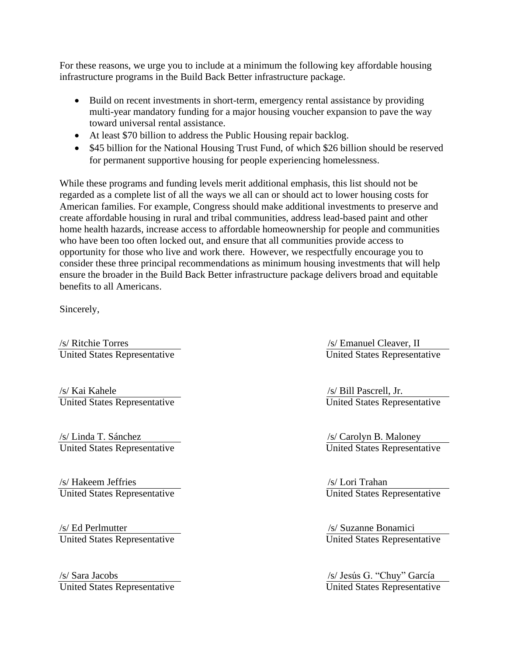For these reasons, we urge you to include at a minimum the following key affordable housing infrastructure programs in the Build Back Better infrastructure package.

- Build on recent investments in short-term, emergency rental assistance by providing multi-year mandatory funding for a major housing voucher expansion to pave the way toward universal rental assistance.
- At least \$70 billion to address the Public Housing repair backlog.
- \$45 billion for the National Housing Trust Fund, of which \$26 billion should be reserved for permanent supportive housing for people experiencing homelessness.

While these programs and funding levels merit additional emphasis, this list should not be regarded as a complete list of all the ways we all can or should act to lower housing costs for American families. For example, Congress should make additional investments to preserve and create affordable housing in rural and tribal communities, address lead-based paint and other home health hazards, increase access to affordable homeownership for people and communities who have been too often locked out, and ensure that all communities provide access to opportunity for those who live and work there. However, we respectfully encourage you to consider these three principal recommendations as minimum housing investments that will help ensure the broader in the Build Back Better infrastructure package delivers broad and equitable benefits to all Americans.

Sincerely,

/s/ Ritchie Torres /s/ Emanuel Cleaver, II United States Representative United States Representative

/s/ Kai Kahele /s/ Bill Pascrell, Jr. United States Representative

/s/ Linda T. Sánchez<br>
United States Representative<br>
United States Representative<br>
United States Representative United States Representative

/s/ Hakeem Jeffries<br>
United States Representative<br>
United States Representative<br>
1991 United States Representative

(s) Ed Perlmutter (s) Suzanne Bonamici<br>
United States Representative (s) United States Representative United States Representative

/s/ Sara Jacobs /s/ Jesús G. "Chuy" García United States Representative United States Representative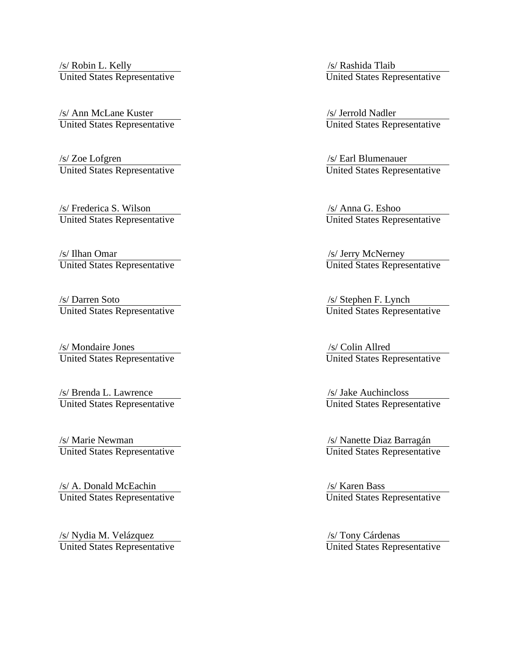/s/ Robin L. Kelly /s/ Rashida Tlaib United States Representative United States Representative

/s/ Ann McLane Kuster /s/ Jerrold Nadler United States Representative United States Representative

/s/ Zoe Lofgren /s/ Earl Blumenauer United States Representative United States Representative

/s/ Frederica S. Wilson /s/ Anna G. Eshoo United States Representative United States Representative

/s/ Ilhan Omar /s/ Jerry McNerney United States Representative United States Representative

/s/ Darren Soto /s/ Stephen F. Lynch United States Representative United States Representative

/s/ Mondaire Jones /s/ Colin Allred United States Representative United States Representative

/s/ Brenda L. Lawrence /s/ Jake Auchincloss United States Representative United States Representative

/s/ Marie Newman /s/ Nanette Diaz Barragán United States Representative United States Representative

/s/ A. Donald McEachin /s/ Karen Bass United States Representative United States Representative

/s/ Nydia M. Velázquez /s/ Tony Cárdenas United States Representative United States Representative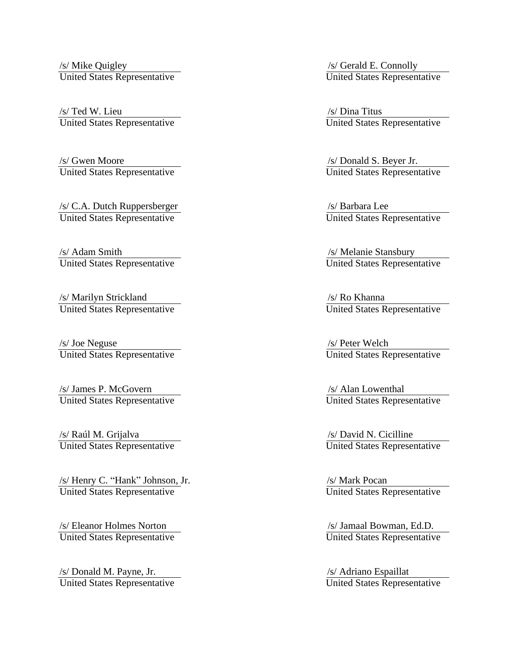/s/ Mike Quigley /s/ Gerald E. Connolly United States Representative United States Representative

(s) Ted W. Lieu (s) Ted W. Lieu (s) Nina Titus (s) Dina Titus (s) Dina Titus (s) United States Representative United States Representative

/s/ Gwen Moore /s/ Donald S. Beyer Jr. United States Representative United States Representative

/s/ C.A. Dutch Ruppersberger /s/ Barbara Lee United States Representative United States Representative

/s/ Adam Smith /s/ Melanie Stansbury United States Representative United States Representative

/s/ Marilyn Strickland<br>
United States Representative<br>
United States Representative United States Representative

/s/ Joe Neguse /s/ Joe Neguse /s/ Deter Welch /s/ Peter Welch /s/ Peter Welch /s/ Peter Welch /s/ Peter Welch /s/  $\frac{1}{s}$  /s/ Peter Welch /s/  $\frac{1}{s}$  /s/ Peter Welch /s/  $\frac{1}{s}$  /s/ Peter Welch /s/  $\frac{1}{s}$  /s/ Pete United States Representative

/s/ James P. McGovern /s/ Alan Lowenthal United States Representative United States Representative

/s/ Raúl M. Grijalva<br>
United States Representative<br>
United States Representative<br>
Vinted States Representative United States Representative

/s/ Henry C. "Hank" Johnson, Jr. /s/ Mark Pocan United States Representative United States Representative

(s) Eleanor Holmes Norton (s) Jamaal Bowman, Ed.D.<br>
United States Representative (s) United States Representative United States Representative

/s/ Donald M. Payne, Jr. /s/ Adriano Espaillat United States Representative United States Representative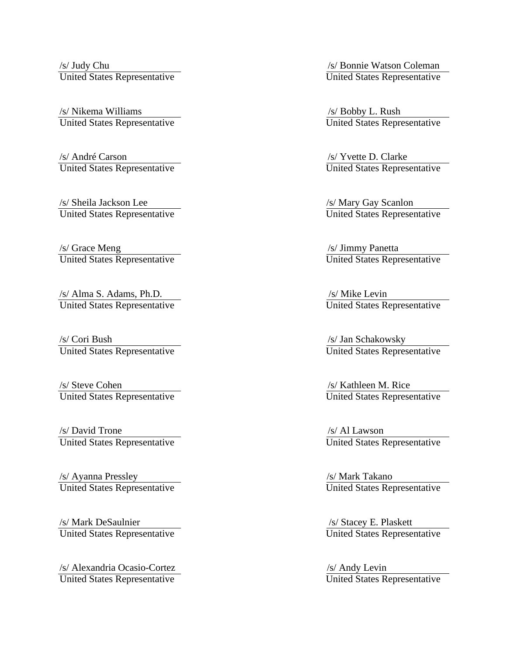/s/ Judy Chu /s/ Bonnie Watson Coleman United States Representative United States Representative

/s/ Nikema Williams /s/ Bobby L. Rush United States Representative United States Representative

/s/ André Carson /s/ Yvette D. Clarke United States Representative United States Representative

/s/ Sheila Jackson Lee /s/ Mary Gay Scanlon United States Representative United States Representative

United States Representative

/s/ Alma S. Adams, Ph.D.<br>
United States Representative United States Re

/s/ Cori Bush /s/ Jan Schakowsky<br>
United States Representative United States Repres

(s) Steve Cohen /s/ Steve Cohen /s/ Kathleen M. Rice<br>
United States Representative United States Representative United States Representative

/s/ David Trone /s/ Al Lawson<br>United States Representative / /s/ Al Lawson<br>United States Representative United States Representative

/s/ Ayanna Pressley<br>
United States Representative<br>
United States Representative<br>
United States Representative United States Representative

/s/ Mark DeSaulnier /s/ Stacey E. Plaskett United States Representative

/s/ Alexandria Ocasio-Cortez /s/ Andy Levin United States Representative United States Representative

/s/ Grace Meng<br>
United States Representative<br>
United States Representative<br>
United States Representative

United States Representative

United States Representative